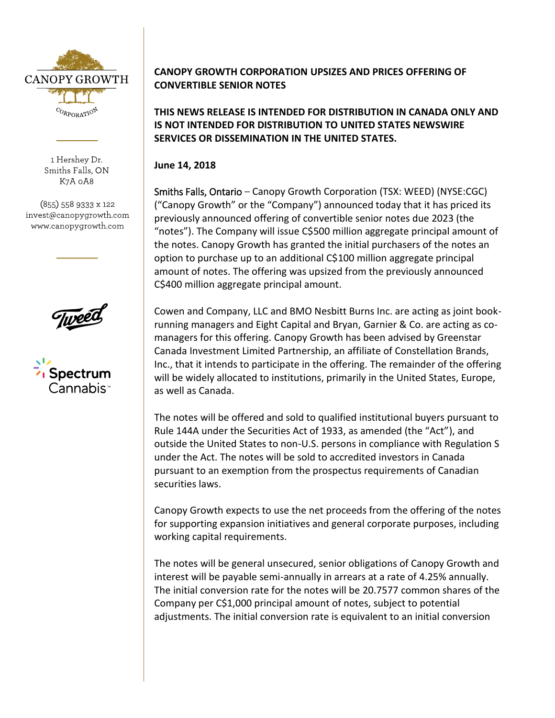

1 Hershey Dr. Smiths Falls, ON K7A 0A8

(855) 558 9333 x 122 invest@canopygrowth.com www.canopygrowth.com



## **CANOPY GROWTH CORPORATION UPSIZES AND PRICES OFFERING OF CONVERTIBLE SENIOR NOTES**

**THIS NEWS RELEASE IS INTENDED FOR DISTRIBUTION IN CANADA ONLY AND IS NOT INTENDED FOR DISTRIBUTION TO UNITED STATES NEWSWIRE SERVICES OR DISSEMINATION IN THE UNITED STATES.**

**June 14, 2018**

Smiths Falls, Ontario – Canopy Growth Corporation (TSX: WEED) (NYSE:CGC) ("Canopy Growth" or the "Company") announced today that it has priced its previously announced offering of convertible senior notes due 2023 (the "notes"). The Company will issue C\$500 million aggregate principal amount of the notes. Canopy Growth has granted the initial purchasers of the notes an option to purchase up to an additional C\$100 million aggregate principal amount of notes. The offering was upsized from the previously announced C\$400 million aggregate principal amount.

Cowen and Company, LLC and BMO Nesbitt Burns Inc. are acting as joint bookrunning managers and Eight Capital and Bryan, Garnier & Co. are acting as comanagers for this offering. Canopy Growth has been advised by Greenstar Canada Investment Limited Partnership, an affiliate of Constellation Brands, Inc., that it intends to participate in the offering. The remainder of the offering will be widely allocated to institutions, primarily in the United States, Europe, as well as Canada.

The notes will be offered and sold to qualified institutional buyers pursuant to Rule 144A under the Securities Act of 1933, as amended (the "Act"), and outside the United States to non-U.S. persons in compliance with Regulation S under the Act. The notes will be sold to accredited investors in Canada pursuant to an exemption from the prospectus requirements of Canadian securities laws.

Canopy Growth expects to use the net proceeds from the offering of the notes for supporting expansion initiatives and general corporate purposes, including working capital requirements.

The notes will be general unsecured, senior obligations of Canopy Growth and interest will be payable semi-annually in arrears at a rate of 4.25% annually. The initial conversion rate for the notes will be 20.7577 common shares of the Company per C\$1,000 principal amount of notes, subject to potential adjustments. The initial conversion rate is equivalent to an initial conversion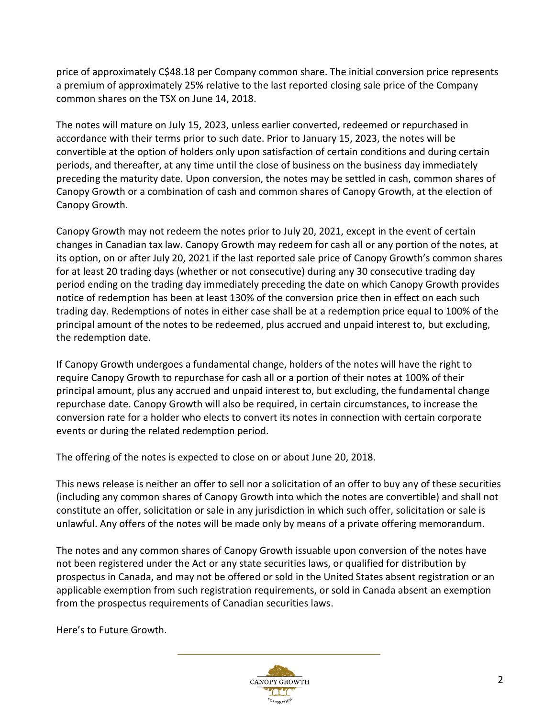price of approximately C\$48.18 per Company common share. The initial conversion price represents a premium of approximately 25% relative to the last reported closing sale price of the Company common shares on the TSX on June 14, 2018.

The notes will mature on July 15, 2023, unless earlier converted, redeemed or repurchased in accordance with their terms prior to such date. Prior to January 15, 2023, the notes will be convertible at the option of holders only upon satisfaction of certain conditions and during certain periods, and thereafter, at any time until the close of business on the business day immediately preceding the maturity date. Upon conversion, the notes may be settled in cash, common shares of Canopy Growth or a combination of cash and common shares of Canopy Growth, at the election of Canopy Growth.

Canopy Growth may not redeem the notes prior to July 20, 2021, except in the event of certain changes in Canadian tax law. Canopy Growth may redeem for cash all or any portion of the notes, at its option, on or after July 20, 2021 if the last reported sale price of Canopy Growth's common shares for at least 20 trading days (whether or not consecutive) during any 30 consecutive trading day period ending on the trading day immediately preceding the date on which Canopy Growth provides notice of redemption has been at least 130% of the conversion price then in effect on each such trading day. Redemptions of notes in either case shall be at a redemption price equal to 100% of the principal amount of the notes to be redeemed, plus accrued and unpaid interest to, but excluding, the redemption date.

If Canopy Growth undergoes a fundamental change, holders of the notes will have the right to require Canopy Growth to repurchase for cash all or a portion of their notes at 100% of their principal amount, plus any accrued and unpaid interest to, but excluding, the fundamental change repurchase date. Canopy Growth will also be required, in certain circumstances, to increase the conversion rate for a holder who elects to convert its notes in connection with certain corporate events or during the related redemption period.

The offering of the notes is expected to close on or about June 20, 2018.

This news release is neither an offer to sell nor a solicitation of an offer to buy any of these securities (including any common shares of Canopy Growth into which the notes are convertible) and shall not constitute an offer, solicitation or sale in any jurisdiction in which such offer, solicitation or sale is unlawful. Any offers of the notes will be made only by means of a private offering memorandum.

The notes and any common shares of Canopy Growth issuable upon conversion of the notes have not been registered under the Act or any state securities laws, or qualified for distribution by prospectus in Canada, and may not be offered or sold in the United States absent registration or an applicable exemption from such registration requirements, or sold in Canada absent an exemption from the prospectus requirements of Canadian securities laws.

Here's to Future Growth.

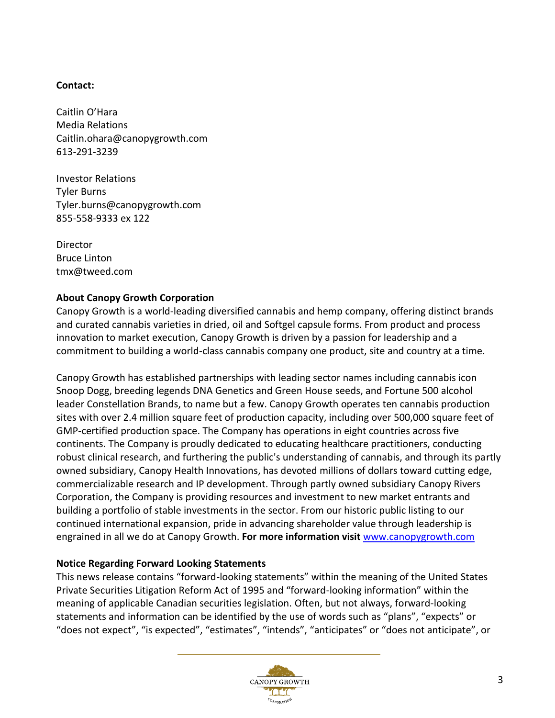## **Contact:**

Caitlin O'Hara Media Relations Caitlin.ohara@canopygrowth.com 613-291-3239

Investor Relations Tyler Burns Tyler.burns@canopygrowth.com 855-558-9333 ex 122

Director Bruce Linton tmx@tweed.com

## **About Canopy Growth Corporation**

Canopy Growth is a world-leading diversified cannabis and hemp company, offering distinct brands and curated cannabis varieties in dried, oil and Softgel capsule forms. From product and process innovation to market execution, Canopy Growth is driven by a passion for leadership and a commitment to building a world-class cannabis company one product, site and country at a time.

Canopy Growth has established partnerships with leading sector names including cannabis icon Snoop Dogg, breeding legends DNA Genetics and Green House seeds, and Fortune 500 alcohol leader Constellation Brands, to name but a few. Canopy Growth operates ten cannabis production sites with over 2.4 million square feet of production capacity, including over 500,000 square feet of GMP-certified production space. The Company has operations in eight countries across five continents. The Company is proudly dedicated to educating healthcare practitioners, conducting robust clinical research, and furthering the public's understanding of cannabis, and through its partly owned subsidiary, Canopy Health Innovations, has devoted millions of dollars toward cutting edge, commercializable research and IP development. Through partly owned subsidiary Canopy Rivers Corporation, the Company is providing resources and investment to new market entrants and building a portfolio of stable investments in the sector. From our historic public listing to our continued international expansion, pride in advancing shareholder value through leadership is engrained in all we do at Canopy Growth. **For more information visit** [www.canopygrowth.com](http://www.canopygrowth.com/)

## **Notice Regarding Forward Looking Statements**

This news release contains "forward-looking statements" within the meaning of the United States Private Securities Litigation Reform Act of 1995 and "forward-looking information" within the meaning of applicable Canadian securities legislation. Often, but not always, forward-looking statements and information can be identified by the use of words such as "plans", "expects" or "does not expect", "is expected", "estimates", "intends", "anticipates" or "does not anticipate", or